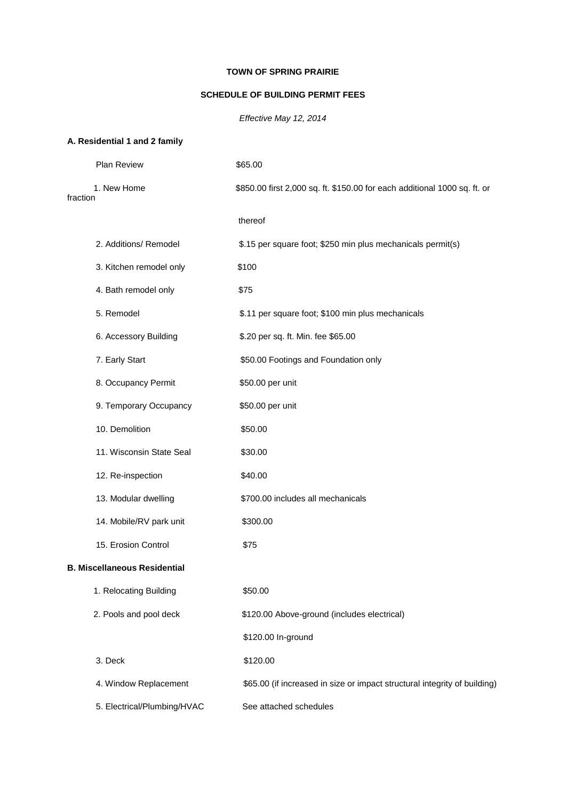## **TOWN OF SPRING PRAIRIE**

### **SCHEDULE OF BUILDING PERMIT FEES**

*Effective May 12, 2014*

# **A. Residential 1 and 2 family**

|          | <b>Plan Review</b>                  | \$65.00                                                                   |
|----------|-------------------------------------|---------------------------------------------------------------------------|
| fraction | 1. New Home                         | \$850.00 first 2,000 sq. ft. \$150.00 for each additional 1000 sq. ft. or |
|          |                                     | thereof                                                                   |
|          | 2. Additions/ Remodel               | \$.15 per square foot; \$250 min plus mechanicals permit(s)               |
|          | 3. Kitchen remodel only             | \$100                                                                     |
|          | 4. Bath remodel only                | \$75                                                                      |
|          | 5. Remodel                          | \$.11 per square foot; \$100 min plus mechanicals                         |
|          | 6. Accessory Building               | \$.20 per sq. ft. Min. fee \$65.00                                        |
|          | 7. Early Start                      | \$50.00 Footings and Foundation only                                      |
|          | 8. Occupancy Permit                 | \$50.00 per unit                                                          |
|          | 9. Temporary Occupancy              | \$50.00 per unit                                                          |
|          | 10. Demolition                      | \$50.00                                                                   |
|          | 11. Wisconsin State Seal            | \$30.00                                                                   |
|          | 12. Re-inspection                   | \$40.00                                                                   |
|          | 13. Modular dwelling                | \$700.00 includes all mechanicals                                         |
|          | 14. Mobile/RV park unit             | \$300.00                                                                  |
|          | 15. Erosion Control                 | \$75                                                                      |
|          | <b>B. Miscellaneous Residential</b> |                                                                           |
|          | 1. Relocating Building              | \$50.00                                                                   |
|          | 2. Pools and pool deck              | \$120.00 Above-ground (includes electrical)                               |
|          |                                     | \$120.00 In-ground                                                        |
|          | 3. Deck                             | \$120.00                                                                  |
|          | 4. Window Replacement               | \$65.00 (if increased in size or impact structural integrity of building) |
|          | 5. Electrical/Plumbing/HVAC         | See attached schedules                                                    |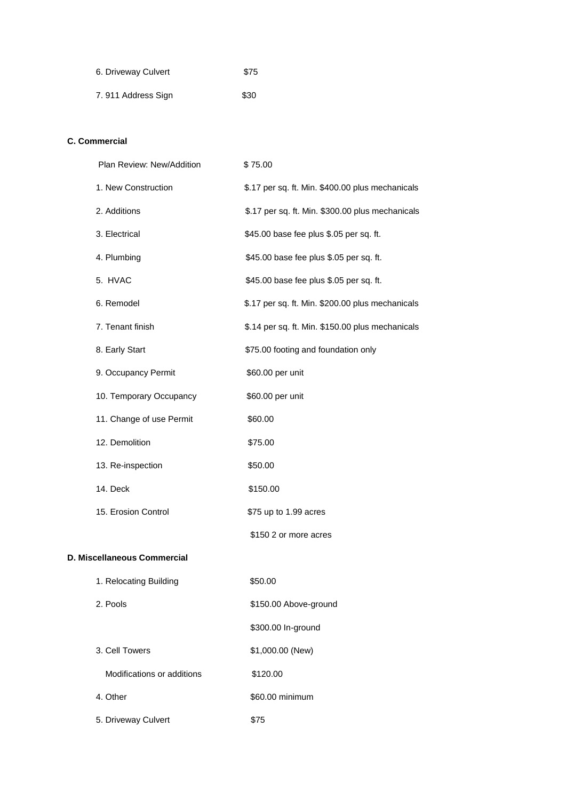| 6. Driveway Culvert | \$75 |
|---------------------|------|
| 7.911 Address Sign  | \$30 |

### **C. Commercial**

| Plan Review: New/Addition | \$75.00                                          |
|---------------------------|--------------------------------------------------|
| 1. New Construction       | \$.17 per sq. ft. Min. \$400.00 plus mechanicals |
| 2. Additions              | \$.17 per sq. ft. Min. \$300.00 plus mechanicals |
| 3. Electrical             | \$45.00 base fee plus \$.05 per sq. ft.          |
| 4. Plumbing               | \$45.00 base fee plus \$.05 per sq. ft.          |
| 5. HVAC                   | \$45.00 base fee plus \$.05 per sq. ft.          |
| 6. Remodel                | \$.17 per sq. ft. Min. \$200.00 plus mechanicals |
| 7. Tenant finish          | \$.14 per sq. ft. Min. \$150.00 plus mechanicals |
| 8. Early Start            | \$75.00 footing and foundation only              |
| 9. Occupancy Permit       | \$60.00 per unit                                 |
| 10. Temporary Occupancy   | \$60.00 per unit                                 |
| 11. Change of use Permit  | \$60.00                                          |
| 12. Demolition            | \$75.00                                          |
| 13. Re-inspection         | \$50.00                                          |
| 14. Deck                  | \$150.00                                         |
| 15. Erosion Control       | \$75 up to 1.99 acres                            |
|                           | \$150 2 or more acres                            |

#### **D. Miscellaneous Commercial**

| 1. Relocating Building     | \$50.00               |
|----------------------------|-----------------------|
| 2. Pools                   | \$150.00 Above-ground |
|                            | \$300.00 In-ground    |
| 3. Cell Towers             | \$1,000.00 (New)      |
| Modifications or additions | \$120.00              |
| 4. Other                   | \$60.00 minimum       |
| 5. Driveway Culvert        | \$75                  |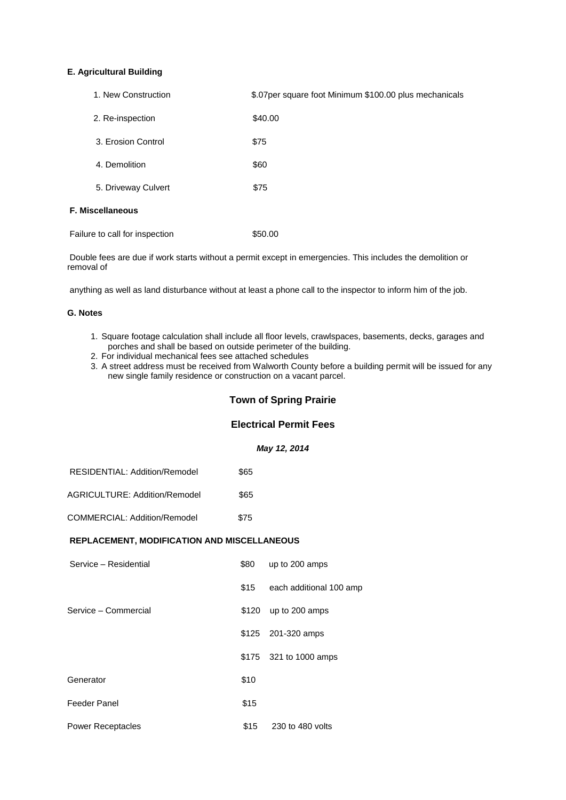#### **E. Agricultural Building**

| 1. New Construction            | \$.07 per square foot Minimum \$100.00 plus mechanicals |
|--------------------------------|---------------------------------------------------------|
| 2. Re-inspection               | \$40.00                                                 |
| 3. Erosion Control             | \$75                                                    |
| 4. Demolition                  | \$60                                                    |
| 5. Driveway Culvert            | \$75                                                    |
| <b>F. Miscellaneous</b>        |                                                         |
| Failure to call for inspection | \$50.00                                                 |

Double fees are due if work starts without a permit except in emergencies. This includes the demolition or removal of

anything as well as land disturbance without at least a phone call to the inspector to inform him of the job.

#### **G. Notes**

- 1. Square footage calculation shall include all floor levels, crawlspaces, basements, decks, garages and porches and shall be based on outside perimeter of the building.
- 2. For individual mechanical fees see attached schedules
- 3. A street address must be received from Walworth County before a building permit will be issued for any new single family residence or construction on a vacant parcel.

#### **Town of Spring Prairie**

#### **Electrical Permit Fees**

*May 12, 2014*

| RESIDENTIAL: Addition/Remodel | \$65 |
|-------------------------------|------|
|-------------------------------|------|

AGRICULTURE: Addition/Remodel \$65

COMMERCIAL: Addition/Remodel \$75

#### **REPLACEMENT, MODIFICATION AND MISCELLANEOUS**

| Service - Residential    | \$80 | up to 200 amps          |
|--------------------------|------|-------------------------|
|                          | \$15 | each additional 100 amp |
| Service - Commercial     |      | $$120$ up to 200 amps   |
|                          |      | \$125 201-320 amps      |
|                          |      | \$175 321 to 1000 amps  |
| Generator                | \$10 |                         |
| Feeder Panel             | \$15 |                         |
| <b>Power Receptacles</b> | \$15 | 230 to 480 volts        |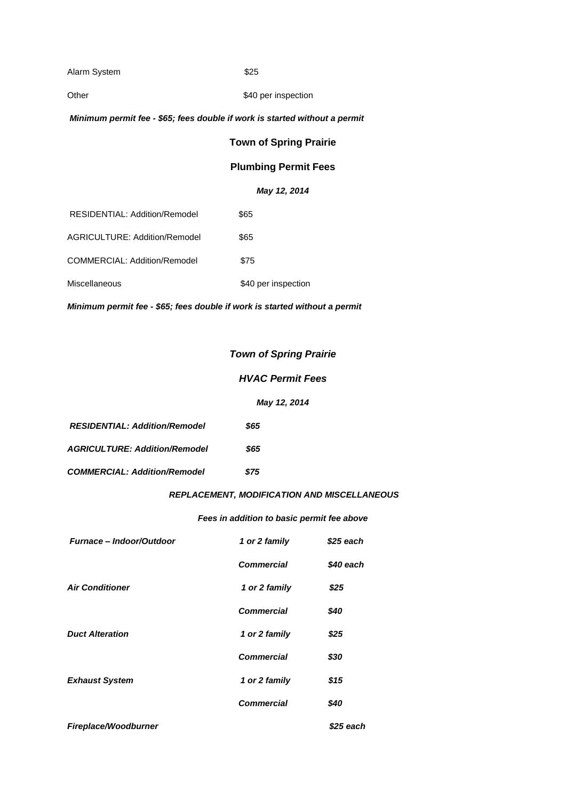Alarm System  $$25$ 

#### Other \$40 per inspection

#### *Minimum permit fee - \$65; fees double if work is started without a permit*

## **Town of Spring Prairie**

## **Plumbing Permit Fees**

## *May 12, 2014*

| Miscellaneous                        | \$40 per inspection |
|--------------------------------------|---------------------|
| <b>COMMERCIAL: Addition/Remodel</b>  | \$75                |
| AGRICULTURE: Addition/Remodel        | \$65                |
| <b>RESIDENTIAL: Addition/Remodel</b> | \$65                |

*Minimum permit fee - \$65; fees double if work is started without a permit*

## *Town of Spring Prairie*

## *HVAC Permit Fees*

## *May 12, 2014*

| <b>RESIDENTIAL: Addition/Remodel</b> | \$65 |  |
|--------------------------------------|------|--|
| <b>AGRICULTURE: Addition/Remodel</b> | \$65 |  |
| <b>COMMERCIAL: Addition/Remodel</b>  | \$75 |  |

## *REPLACEMENT, MODIFICATION AND MISCELLANEOUS*

#### *Fees in addition to basic permit fee above*

| <b>Furnace – Indoor/Outdoor</b> | 1 or 2 family     | \$25 each |
|---------------------------------|-------------------|-----------|
|                                 | <b>Commercial</b> | \$40 each |
| <b>Air Conditioner</b>          | 1 or 2 family     | \$25      |
|                                 | <b>Commercial</b> | \$40      |
| <b>Duct Alteration</b>          | 1 or 2 family     | \$25      |
|                                 | <b>Commercial</b> | \$30      |
| <b>Exhaust System</b>           | 1 or 2 family     | \$15      |
|                                 | <b>Commercial</b> | \$40      |
| Fireplace/Woodburner            |                   | \$25 each |